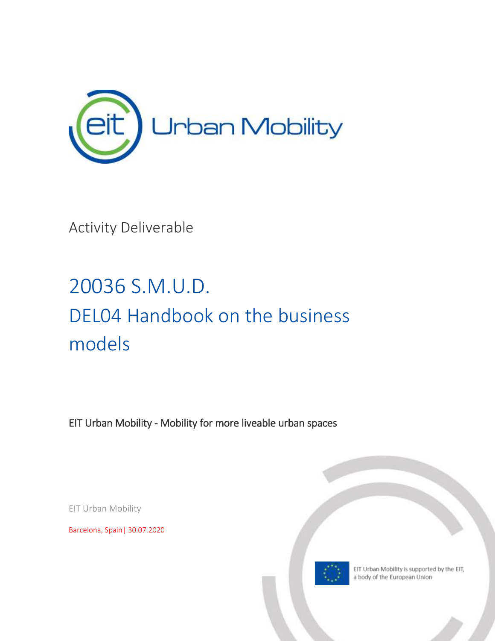

Activity Deliverable

# 20036 S.M.U.D. DEL04 Handbook on the business models

EIT Urban Mobility - Mobility for more liveable urban spaces

EIT Urban Mobility

Barcelona, Spain| 30.07.2020



EIT Urban Mobility is supported by the EIT, a body of the European Union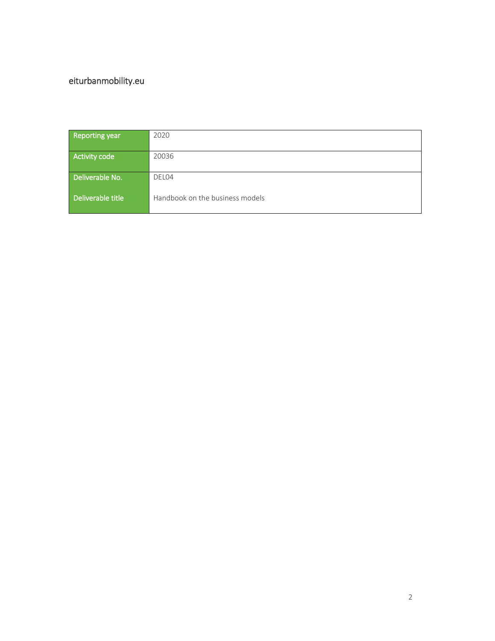### [eiturbanmobility.eu](http://www.eiturbanmobility.eu/)

| Reporting year    | 2020                            |
|-------------------|---------------------------------|
| Activity code     | 20036                           |
| Deliverable No.   | DEL04                           |
| Deliverable title | Handbook on the business models |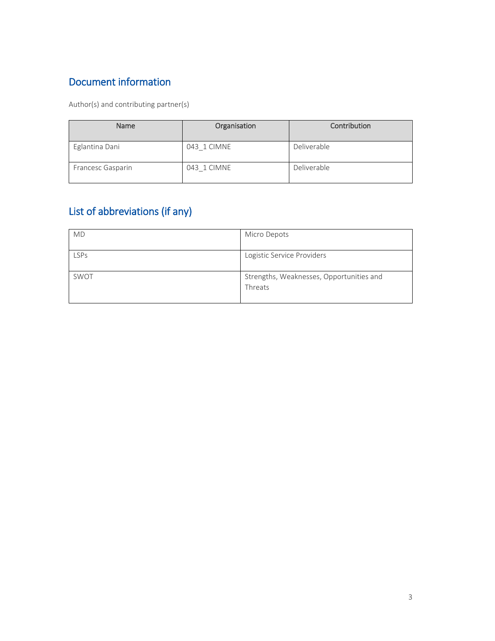### Document information

Author(s) and contributing partner(s)

| <b>Name</b>       | Organisation | Contribution |
|-------------------|--------------|--------------|
| Eglantina Dani    | 043 1 CIMNE  | Deliverable  |
| Francesc Gasparin | 043 1 CIMNE  | Deliverable  |

### List of abbreviations (if any)

| <b>MD</b>   | Micro Depots                             |
|-------------|------------------------------------------|
|             |                                          |
| <b>LSPs</b> | Logistic Service Providers               |
|             |                                          |
| SWOT        | Strengths, Weaknesses, Opportunities and |
|             | Threats                                  |
|             |                                          |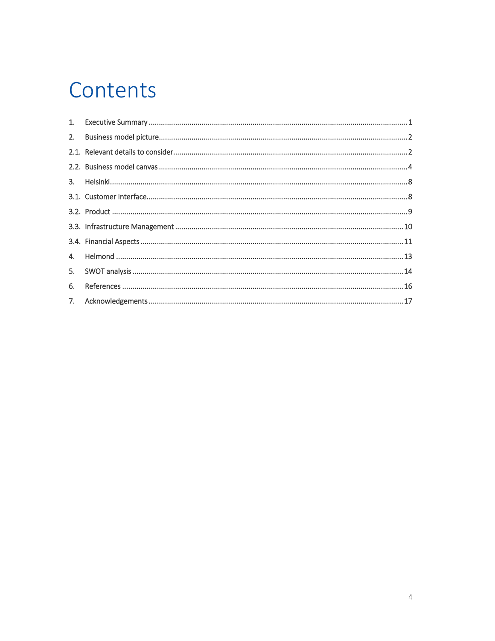### Contents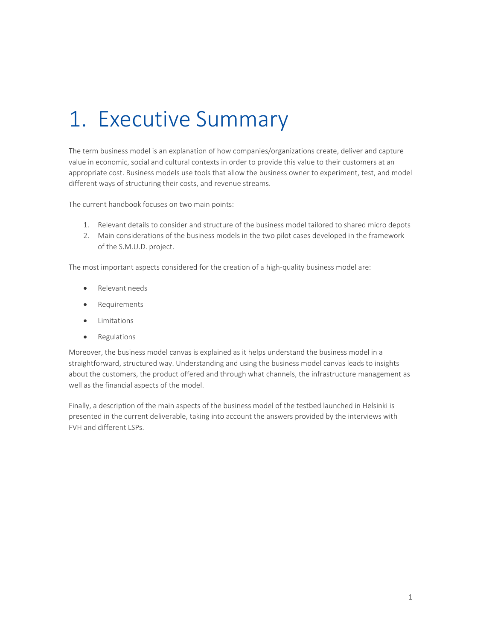## <span id="page-4-0"></span>1. Executive Summary

The term business model is an explanation of how companies/organizations create, deliver and capture value in economic, social and cultural contexts in order to provide this value to their customers at an appropriate cost. Business models use tools that allow the business owner to experiment, test, and model different ways of structuring their costs, and revenue streams.

The current handbook focuses on two main points:

- 1. Relevant details to consider and structure of the business model tailored to shared micro depots
- 2. Main considerations of the business models in the two pilot cases developed in the framework of the S.M.U.D. project.

The most important aspects considered for the creation of a high-quality business model are:

- Relevant needs
- Requirements
- Limitations
- Regulations

Moreover, the business model canvas is explained as it helps understand the business model in a straightforward, structured way. Understanding and using the business model canvas leads to insights about the customers, the product offered and through what channels, the infrastructure management as well as the financial aspects of the model.

Finally, a description of the main aspects of the business model of the testbed launched in Helsinki is presented in the current deliverable, taking into account the answers provided by the interviews with FVH and different LSPs.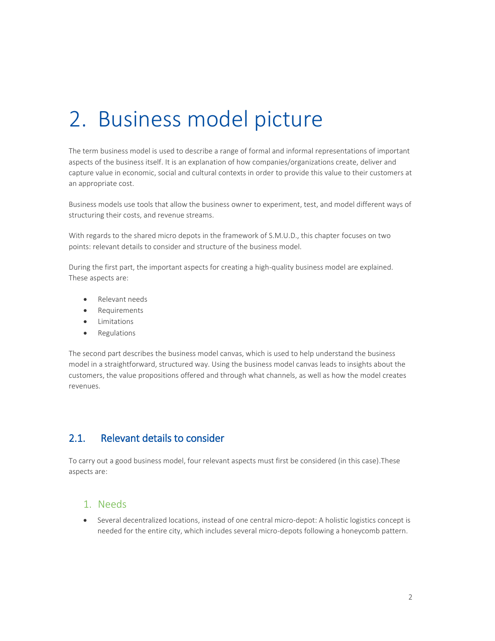## <span id="page-5-0"></span>2. Business model picture

The term business model is used to describe a range of formal and informal representations of important aspects of the business itself. It is an explanation of how companies/organizations create, deliver and capture value in economic, social and cultural contexts in order to provide this value to their customers at an appropriate cost.

Business models use tools that allow the business owner to experiment, test, and model different ways of structuring their costs, and revenue streams.

With regards to the shared micro depots in the framework of S.M.U.D., this chapter focuses on two points: relevant details to consider and structure of the business model.

During the first part, the important aspects for creating a high-quality business model are explained. These aspects are:

- Relevant needs
- **•** Requirements
- **•** Limitations
- Regulations

The second part describes the business model canvas, which is used to help understand the business model in a straightforward, structured way. Using the business model canvas leads to insights about the customers, the value propositions offered and through what channels, as well as how the model creates revenues.

#### <span id="page-5-1"></span>2.1. Relevant details to consider

To carry out a good business model, four relevant aspects must first be considered (in this case).These aspects are:

#### 1. Needs

 Several decentralized locations, instead of one central micro-depot: A holistic logistics concept is needed for the entire city, which includes several micro-depots following a honeycomb pattern.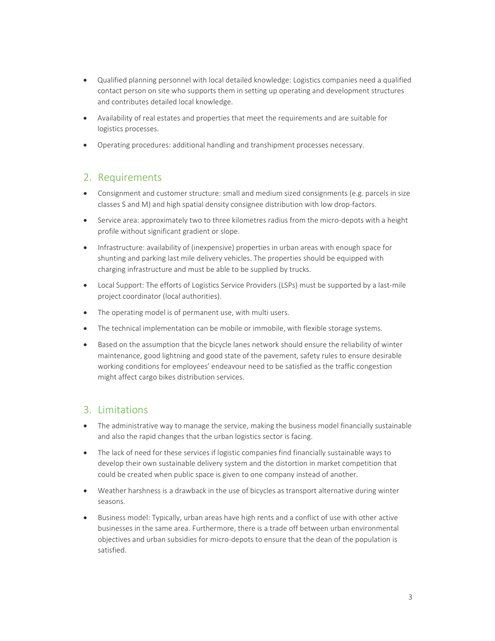- Qualified planning personnel with local detailed knowledge: Logistics companies need a qualified contact person on site who supports them in setting up operating and development structures and contributes detailed local knowledge.
- Availability of real estates and properties that meet the requirements and are suitable for logistics processes.
- Operating procedures: additional handling and transhipment processes necessary.

#### 2. Requirements

- Consignment and customer structure: small and medium sized consignments (e.g. parcels in size classes S and M) and high spatial density consignee distribution with low drop-factors.
- Service area: approximately two to three kilometres radius from the micro-depots with a height profile without significant gradient or slope.
- Infrastructure: availability of (inexpensive) properties in urban areas with enough space for shunting and parking last mile delivery vehicles. The properties should be equipped with charging infrastructure and must be able to be supplied by trucks.
- Local Support: The efforts of Logistics Service Providers (LSPs) must be supported by a last-mile project coordinator (local authorities).
- The operating model is of permanent use, with multi users.
- The technical implementation can be mobile or immobile, with flexible storage systems.
- Based on the assumption that the bicycle lanes network should ensure the reliability of winter maintenance, good lightning and good state of the pavement, safety rules to ensure desirable working conditions for employees' endeavour need to be satisfied as the traffic congestion might affect cargo bikes distribution services.

#### 3. Limitations

- The administrative way to manage the service, making the business model financially sustainable and also the rapid changes that the urban logistics sector is facing.
- The lack of need for these services if logistic companies find financially sustainable ways to develop their own sustainable delivery system and the distortion in market competition that could be created when public space is given to one company instead of another.
- Weather harshness is a drawback in the use of bicycles as transport alternative during winter seasons.
- Business model: Typically, urban areas have high rents and a conflict of use with other active businesses in the same area. Furthermore, there is a trade off between urban environmental objectives and urban subsidies for micro-depots to ensure that the dean of the population is satisfied.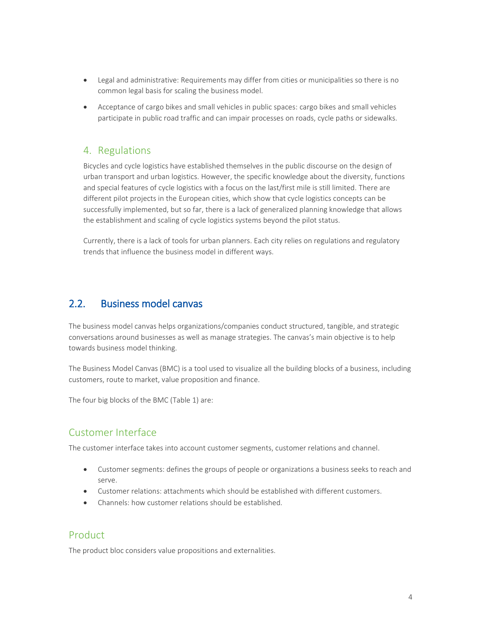- Legal and administrative: Requirements may differ from cities or municipalities so there is no common legal basis for scaling the business model.
- Acceptance of cargo bikes and small vehicles in public spaces: cargo bikes and small vehicles participate in public road traffic and can impair processes on roads, cycle paths or sidewalks.

#### 4. Regulations

Bicycles and cycle logistics have established themselves in the public discourse on the design of urban transport and urban logistics. However, the specific knowledge about the diversity, functions and special features of cycle logistics with a focus on the last/first mile is still limited. There are different pilot projects in the European cities, which show that cycle logistics concepts can be successfully implemented, but so far, there is a lack of generalized planning knowledge that allows the establishment and scaling of cycle logistics systems beyond the pilot status.

Currently, there is a lack of tools for urban planners. Each city relies on regulations and regulatory trends that influence the business model in different ways.

#### <span id="page-7-0"></span>2.2. Business model canvas

The business model canvas helps organizations/companies conduct structured, tangible, and strategic conversations around businesses as well as manage strategies. The canvas's main objective is to help towards business model thinking.

The Business Model Canvas (BMC) is a tool used to visualize all the building blocks of a business, including customers, route to market, value proposition and finance.

The four big blocks of the BMC [\(Table 1\)](#page-10-0) are:

#### Customer Interface

The customer interface takes into account customer segments, customer relations and channel.

- Customer segments: defines the groups of people or organizations a business seeks to reach and serve.
- Customer relations: attachments which should be established with different customers.
- Channels: how customer relations should be established.

#### Product

The product bloc considers value propositions and externalities.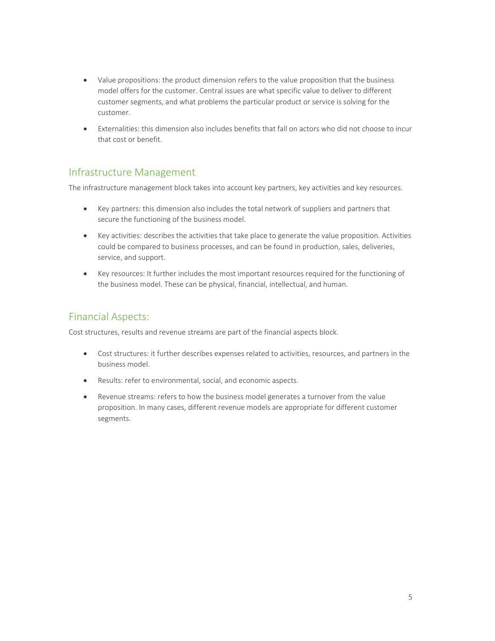- Value propositions: the product dimension refers to the value proposition that the business model offers for the customer. Central issues are what specific value to deliver to different customer segments, and what problems the particular product or service is solving for the customer.
- Externalities: this dimension also includes benefits that fall on actors who did not choose to incur that cost or benefit.

#### Infrastructure Management

The infrastructure management block takes into account key partners, key activities and key resources.

- Key partners: this dimension also includes the total network of suppliers and partners that secure the functioning of the business model.
- Key activities: describes the activities that take place to generate the value proposition. Activities could be compared to business processes, and can be found in production, sales, deliveries, service, and support.
- Key resources: It further includes the most important resources required for the functioning of the business model. These can be physical, financial, intellectual, and human.

#### Financial Aspects:

Cost structures, results and revenue streams are part of the financial aspects block.

- Cost structures: it further describes expenses related to activities, resources, and partners in the business model.
- Results: refer to environmental, social, and economic aspects.
- Revenue streams: refers to how the business model generates a turnover from the value proposition. In many cases, different revenue models are appropriate for different customer segments.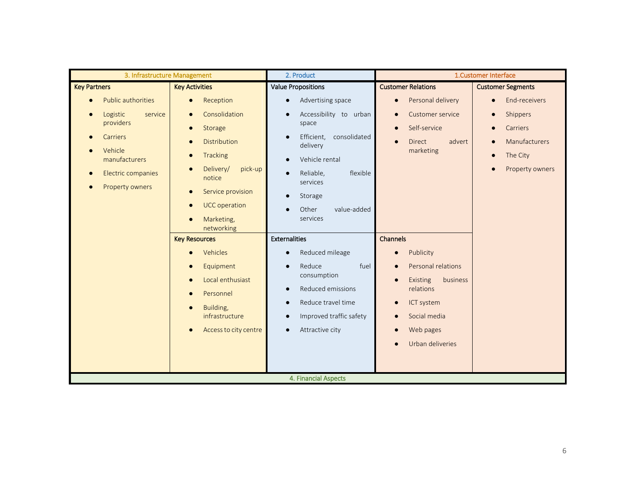| <b>Key Partners</b>                                                                                                                            | <b>Key Activities</b>                                                                                                                                                                                |                                                                                                                                                                                                                                                                                     |                                                                                                                                                                                                                  |                                                                                                                                                        |
|------------------------------------------------------------------------------------------------------------------------------------------------|------------------------------------------------------------------------------------------------------------------------------------------------------------------------------------------------------|-------------------------------------------------------------------------------------------------------------------------------------------------------------------------------------------------------------------------------------------------------------------------------------|------------------------------------------------------------------------------------------------------------------------------------------------------------------------------------------------------------------|--------------------------------------------------------------------------------------------------------------------------------------------------------|
|                                                                                                                                                |                                                                                                                                                                                                      | <b>Value Propositions</b>                                                                                                                                                                                                                                                           | <b>Customer Relations</b>                                                                                                                                                                                        | <b>Customer Segments</b>                                                                                                                               |
| <b>Public authorities</b><br>Logistic<br>service<br>providers<br>Carriers<br>Vehicle<br>manufacturers<br>Electric companies<br>Property owners | Reception<br>$\bullet$<br>Consolidation<br>Storage<br>$\bullet$<br>Distribution<br>Tracking<br>$\bullet$<br>Delivery/<br>pick-up<br>notice<br>Service provision<br><b>UCC</b> operation<br>$\bullet$ | Advertising space<br>$\bullet$<br>Accessibility to urban<br>$\bullet$<br>space<br>Efficient,<br>consolidated<br>$\bullet$<br>delivery<br>Vehicle rental<br>$\bullet$<br>Reliable,<br>flexible<br>$\bullet$<br>services<br>Storage<br>$\bullet$<br>Other<br>value-added<br>$\bullet$ | Personal delivery<br>$\bullet$<br>Customer service<br>$\bullet$<br>Self-service<br>$\bullet$<br>Direct<br>advert<br>$\bullet$<br>marketing                                                                       | End-receivers<br>$\bullet$<br>Shippers<br>$\bullet$<br>Carriers<br>$\bullet$<br>Manufacturers<br>The City<br>$\bullet$<br>Property owners<br>$\bullet$ |
|                                                                                                                                                | Marketing,<br>networking<br><b>Key Resources</b><br>Vehicles<br>Equipment<br>Local enthusiast<br>Personnel<br>Building,<br>infrastructure<br>Access to city centre                                   | services<br><b>Externalities</b><br>Reduced mileage<br>$\bullet$<br>Reduce<br>fuel<br>$\bullet$<br>consumption<br>Reduced emissions<br>$\bullet$<br>Reduce travel time<br>$\bullet$<br>Improved traffic safety<br>$\bullet$<br>Attractive city<br>$\bullet$<br>4. Financial Aspects | Channels<br>Publicity<br>$\bullet$<br>Personal relations<br>$\bullet$<br>Existing<br>business<br>relations<br>ICT system<br>$\bullet$<br>Social media<br>$\bullet$<br>Web pages<br>Urban deliveries<br>$\bullet$ |                                                                                                                                                        |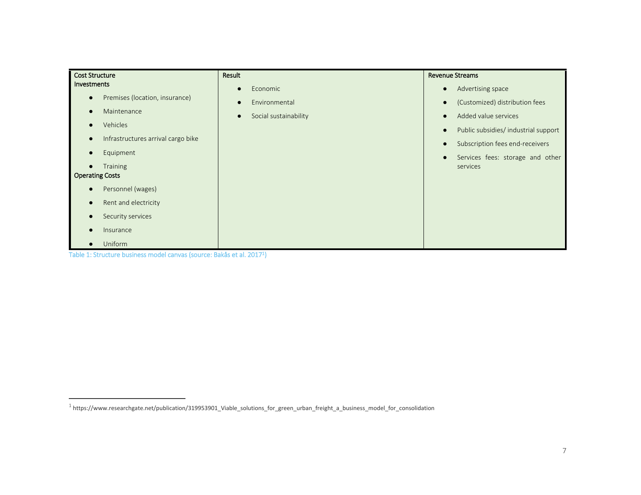| <b>Cost Structure</b>                           | Result                             | <b>Revenue Streams</b>                                    |
|-------------------------------------------------|------------------------------------|-----------------------------------------------------------|
| Investments                                     | Economic<br>$\bullet$              | Advertising space<br>$\bullet$                            |
| Premises (location, insurance)<br>$\bullet$     | Environmental<br>$\bullet$         | (Customized) distribution fees<br>$\bullet$               |
| Maintenance<br>$\bullet$                        | Social sustainability<br>$\bullet$ | Added value services<br>$\bullet$                         |
| Vehicles<br>$\bullet$                           |                                    | Public subsidies/ industrial support<br>$\bullet$         |
| Infrastructures arrival cargo bike<br>$\bullet$ |                                    | Subscription fees end-receivers<br>$\bullet$              |
| Equipment<br>$\bullet$                          |                                    |                                                           |
| <b>Training</b><br>$\bullet$                    |                                    | Services fees: storage and other<br>$\bullet$<br>services |
| <b>Operating Costs</b>                          |                                    |                                                           |
| Personnel (wages)<br>$\bullet$                  |                                    |                                                           |
| Rent and electricity<br>$\bullet$               |                                    |                                                           |
| Security services<br>$\bullet$                  |                                    |                                                           |
| Insurance<br>$\bullet$                          |                                    |                                                           |
| Uniform<br>$\bullet$                            |                                    |                                                           |

Table 1: Structure business model canvas (source: Bakås et al. 2017<sup>1</sup> )

<span id="page-10-0"></span> $\overline{a}$ 

<sup>&</sup>lt;sup>1</sup> [https://www.researchgate.net/publication/319953901\\_Viable\\_solutions\\_for\\_green\\_urban\\_freight\\_a\\_business\\_model\\_for\\_consolidation](https://www.researchgate.net/publication/319953901_Viable_solutions_for_green_urban_freight_a_business_model_for_consolidation)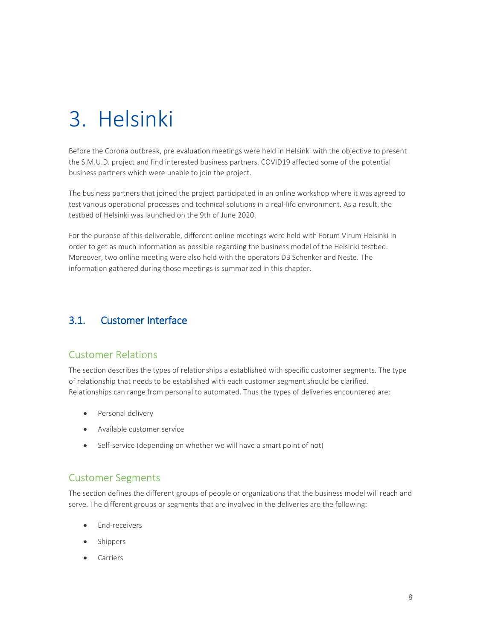## <span id="page-11-0"></span>3. Helsinki

Before the Corona outbreak, pre evaluation meetings were held in Helsinki with the objective to present the S.M.U.D. project and find interested business partners. COVID19 affected some of the potential business partners which were unable to join the project.

The business partners that joined the project participated in an online workshop where it was agreed to test various operational processes and technical solutions in a real-life environment. As a result, the testbed of Helsinki was launched on the 9th of June 2020.

For the purpose of this deliverable, different online meetings were held with Forum Virum Helsinki in order to get as much information as possible regarding the business model of the Helsinki testbed. Moreover, two online meeting were also held with the operators DB Schenker and Neste. The information gathered during those meetings is summarized in this chapter.

#### <span id="page-11-1"></span>3.1. Customer Interface

#### Customer Relations

The section describes the types of relationships a established with specific customer segments. The type of relationship that needs to be established with each customer segment should be clarified. Relationships can range from personal to automated. Thus the types of deliveries encountered are:

- Personal delivery
- Available customer service
- Self-service (depending on whether we will have a smart point of not)

#### Customer Segments

The section defines the different groups of people or organizations that the business model will reach and serve. The different groups or segments that are involved in the deliveries are the following:

- End-receivers
- Shippers
- Carriers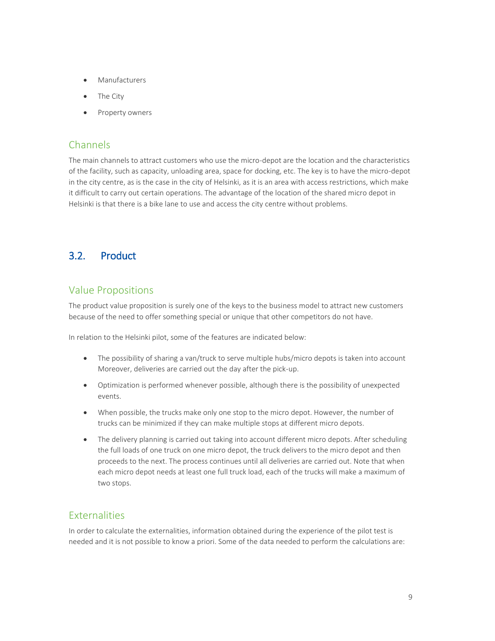- Manufacturers
- The City
- Property owners

#### Channels

The main channels to attract customers who use the micro-depot are the location and the characteristics of the facility, such as capacity, unloading area, space for docking, etc. The key is to have the micro-depot in the city centre, as is the case in the city of Helsinki, as it is an area with access restrictions, which make it difficult to carry out certain operations. The advantage of the location of the shared micro depot in Helsinki is that there is a bike lane to use and access the city centre without problems.

#### <span id="page-12-0"></span>3.2. Product

#### Value Propositions

The product value proposition is surely one of the keys to the business model to attract new customers because of the need to offer something special or unique that other competitors do not have.

In relation to the Helsinki pilot, some of the features are indicated below:

- The possibility of sharing a van/truck to serve multiple hubs/micro depots is taken into account Moreover, deliveries are carried out the day after the pick-up.
- Optimization is performed whenever possible, although there is the possibility of unexpected events.
- When possible, the trucks make only one stop to the micro depot. However, the number of trucks can be minimized if they can make multiple stops at different micro depots.
- The delivery planning is carried out taking into account different micro depots. After scheduling the full loads of one truck on one micro depot, the truck delivers to the micro depot and then proceeds to the next. The process continues until all deliveries are carried out. Note that when each micro depot needs at least one full truck load, each of the trucks will make a maximum of two stops.

#### **Externalities**

In order to calculate the externalities, information obtained during the experience of the pilot test is needed and it is not possible to know a priori. Some of the data needed to perform the calculations are: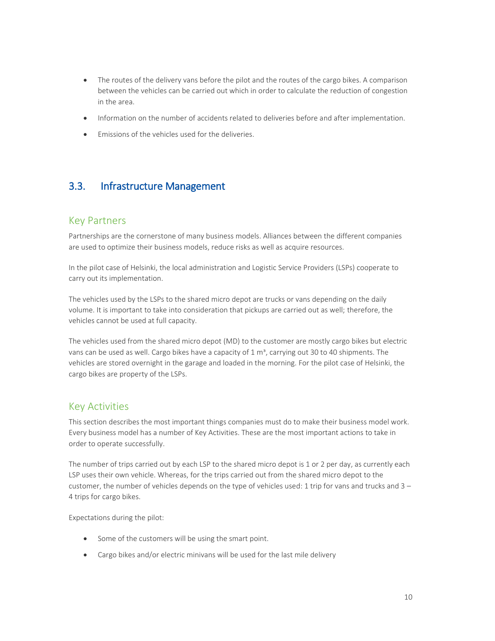- The routes of the delivery vans before the pilot and the routes of the cargo bikes. A comparison between the vehicles can be carried out which in order to calculate the reduction of congestion in the area.
- Information on the number of accidents related to deliveries before and after implementation.
- <span id="page-13-0"></span>Emissions of the vehicles used for the deliveries.

#### 3.3. Infrastructure Management

#### Key Partners

Partnerships are the cornerstone of many business models. Alliances between the different companies are used to optimize their business models, reduce risks as well as acquire resources.

In the pilot case of Helsinki, the local administration and Logistic Service Providers (LSPs) cooperate to carry out its implementation.

The vehicles used by the LSPs to the shared micro depot are trucks or vans depending on the daily volume. It is important to take into consideration that pickups are carried out as well; therefore, the vehicles cannot be used at full capacity.

The vehicles used from the shared micro depot (MD) to the customer are mostly cargo bikes but electric vans can be used as well. Cargo bikes have a capacity of  $1 \text{ m}^3$ , carrying out 30 to 40 shipments. The vehicles are stored overnight in the garage and loaded in the morning. For the pilot case of Helsinki, the cargo bikes are property of the LSPs.

#### Key Activities

This section describes the most important things companies must do to make their business model work. Every business model has a number of Key Activities. These are the most important actions to take in order to operate successfully.

The number of trips carried out by each LSP to the shared micro depot is 1 or 2 per day, as currently each LSP uses their own vehicle. Whereas, for the trips carried out from the shared micro depot to the customer, the number of vehicles depends on the type of vehicles used: 1 trip for vans and trucks and 3 – 4 trips for cargo bikes.

Expectations during the pilot:

- Some of the customers will be using the smart point.
- Cargo bikes and/or electric minivans will be used for the last mile delivery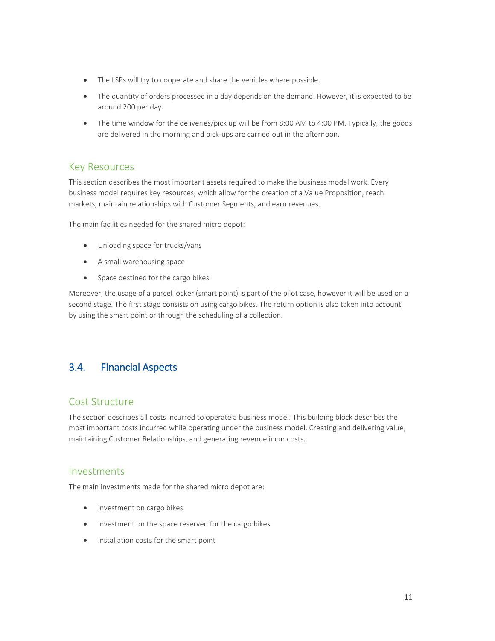- The LSPs will try to cooperate and share the vehicles where possible.
- The quantity of orders processed in a day depends on the demand. However, it is expected to be around 200 per day.
- The time window for the deliveries/pick up will be from 8:00 AM to 4:00 PM. Typically, the goods are delivered in the morning and pick-ups are carried out in the afternoon.

#### Key Resources

This section describes the most important assets required to make the business model work. Every business model requires key resources, which allow for the creation of a Value Proposition, reach markets, maintain relationships with Customer Segments, and earn revenues.

The main facilities needed for the shared micro depot:

- Unloading space for trucks/vans
- A small warehousing space
- Space destined for the cargo bikes

Moreover, the usage of a parcel locker (smart point) is part of the pilot case, however it will be used on a second stage. The first stage consists on using cargo bikes. The return option is also taken into account, by using the smart point or through the scheduling of a collection.

#### <span id="page-14-0"></span>3.4. Financial Aspects

#### Cost Structure

The section describes all costs incurred to operate a business model. This building block describes the most important costs incurred while operating under the business model. Creating and delivering value, maintaining Customer Relationships, and generating revenue incur costs.

#### Investments

The main investments made for the shared micro depot are:

- Investment on cargo bikes
- Investment on the space reserved for the cargo bikes
- Installation costs for the smart point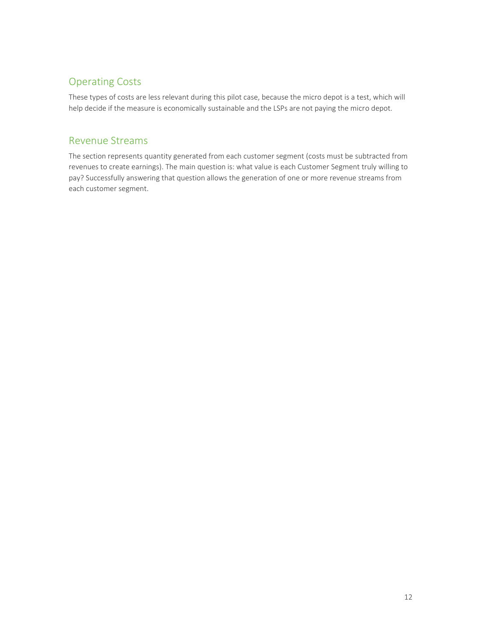#### Operating Costs

These types of costs are less relevant during this pilot case, because the micro depot is a test, which will help decide if the measure is economically sustainable and the LSPs are not paying the micro depot.

#### Revenue Streams

The section represents quantity generated from each customer segment (costs must be subtracted from revenues to create earnings). The main question is: what value is each Customer Segment truly willing to pay? Successfully answering that question allows the generation of one or more revenue streams from each customer segment.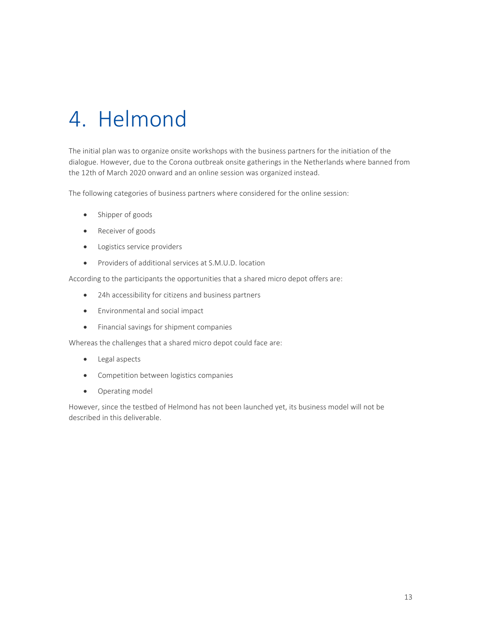# <span id="page-16-0"></span>4. Helmond

The initial plan was to organize onsite workshops with the business partners for the initiation of the dialogue. However, due to the Corona outbreak onsite gatherings in the Netherlands where banned from the 12th of March 2020 onward and an online session was organized instead.

The following categories of business partners where considered for the online session:

- Shipper of goods
- Receiver of goods
- Logistics service providers
- Providers of additional services at S.M.U.D. location

According to the participants the opportunities that a shared micro depot offers are:

- 24h accessibility for citizens and business partners
- Environmental and social impact
- Financial savings for shipment companies

Whereas the challenges that a shared micro depot could face are:

- Legal aspects
- Competition between logistics companies
- Operating model

However, since the testbed of Helmond has not been launched yet, its business model will not be described in this deliverable.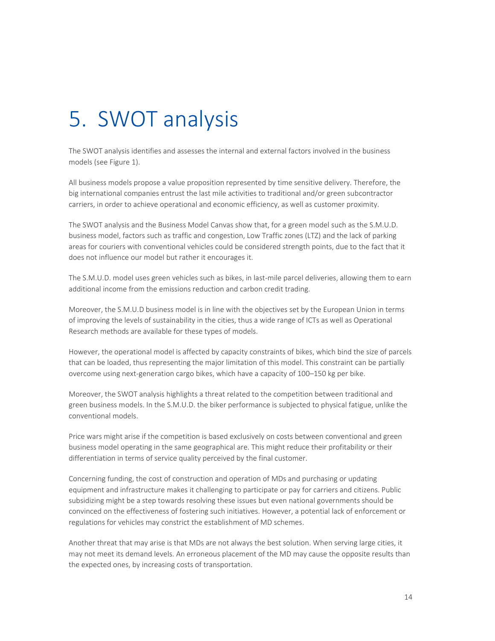## <span id="page-17-0"></span>5. SWOT analysis

The SWOT analysis identifies and assesses the internal and external factors involved in the business models (se[e Figure 1\)](#page-18-0).

All business models propose a value proposition represented by time sensitive delivery. Therefore, the big international companies entrust the last mile activities to traditional and/or green subcontractor carriers, in order to achieve operational and economic efficiency, as well as customer proximity.

The SWOT analysis and the Business Model Canvas show that, for a green model such as the S.M.U.D. business model, factors such as traffic and congestion, Low Traffic zones (LTZ) and the lack of parking areas for couriers with conventional vehicles could be considered strength points, due to the fact that it does not influence our model but rather it encourages it.

The S.M.U.D. model uses green vehicles such as bikes, in last-mile parcel deliveries, allowing them to earn additional income from the emissions reduction and carbon credit trading.

Moreover, the S.M.U.D business model is in line with the objectives set by the European Union in terms of improving the levels of sustainability in the cities, thus a wide range of ICTs as well as Operational Research methods are available for these types of models.

However, the operational model is affected by capacity constraints of bikes, which bind the size of parcels that can be loaded, thus representing the major limitation of this model. This constraint can be partially overcome using next-generation cargo bikes, which have a capacity of 100–150 kg per bike.

Moreover, the SWOT analysis highlights a threat related to the competition between traditional and green business models. In the S.M.U.D. the biker performance is subjected to physical fatigue, unlike the conventional models.

Price wars might arise if the competition is based exclusively on costs between conventional and green business model operating in the same geographical are. This might reduce their profitability or their differentiation in terms of service quality perceived by the final customer.

Concerning funding, the cost of construction and operation of MDs and purchasing or updating equipment and infrastructure makes it challenging to participate or pay for carriers and citizens. Public subsidizing might be a step towards resolving these issues but even national governments should be convinced on the effectiveness of fostering such initiatives. However, a potential lack of enforcement or regulations for vehicles may constrict the establishment of MD schemes.

Another threat that may arise is that MDs are not always the best solution. When serving large cities, it may not meet its demand levels. An erroneous placement of the MD may cause the opposite results than the expected ones, by increasing costs of transportation.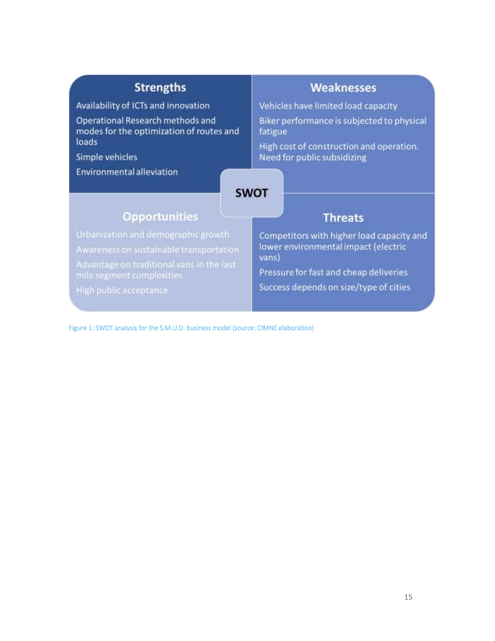| <b>Strengths</b>                                                             | <b>Weaknesses</b>                                                       |
|------------------------------------------------------------------------------|-------------------------------------------------------------------------|
| Availability of ICTs and innovation                                          | Vehicles have limited load capacity                                     |
| Operational Research methods and<br>modes for the optimization of routes and | Biker performance is subjected to physical<br>fatigue                   |
| loads<br>Simple vehicles                                                     | High cost of construction and operation.<br>Need for public subsidizing |
| <b>Opportunities</b>                                                         | <b>SWOT</b><br><b>Threats</b>                                           |
| Urbanization and demographic growth                                          | Competitors with higher load capacity and                               |

<span id="page-18-0"></span>Figure 1: SWOT analysis for the S.M.U.D. business model (source: CIMNE elaboration)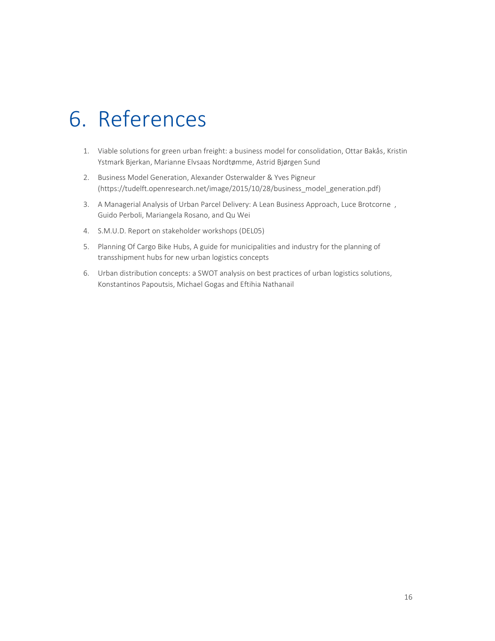### <span id="page-19-0"></span>6. References

- 1. Viable solutions for green urban freight: a business model for consolidation, Ottar Bakås, Kristin Ystmark Bjerkan, Marianne Elvsaas Nordtømme, Astrid Bjørgen Sund
- 2. Business Model Generation, Alexander Osterwalder & Yves Pigneur [\(https://tudelft.openresearch.net/image/2015/10/28/business\\_model\\_generation.pdf\)](https://tudelft.openresearch.net/image/2015/10/28/business_model_generation.pdf)
- 3. A Managerial Analysis of Urban Parcel Delivery: A Lean Business Approach, Luce Brotcorne , Guido Perboli, Mariangela Rosano, and Qu Wei
- 4. S.M.U.D. Report on stakeholder workshops (DEL05)
- 5. Planning Of Cargo Bike Hubs, A guide for municipalities and industry for the planning of transshipment hubs for new urban logistics concepts
- 6. Urban distribution concepts: a SWOT analysis on best practices of urban logistics solutions, Konstantinos Papoutsis, Michael Gogas and Eftihia Nathanail